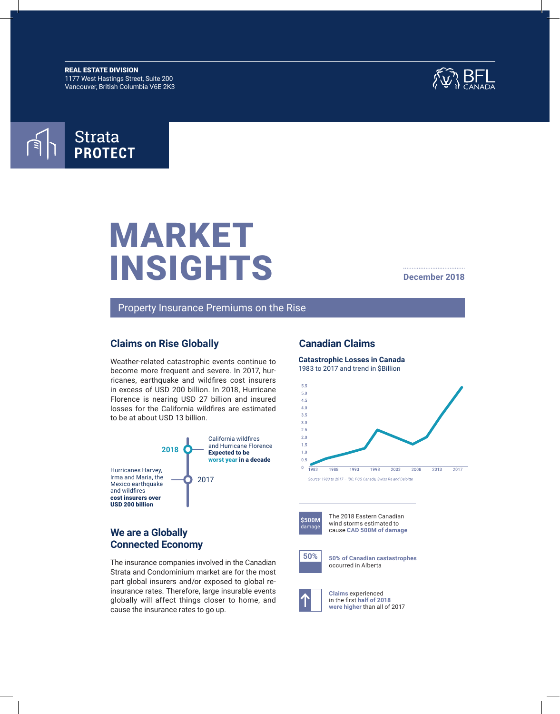REAL ESTATE DIVISION 1177 West Hastings Street, Suite 200 Vancouver, British Columbia V6E 2K3





# MARKET INSIGHTS

#### **December 2018**

Property Insurance Premiums on the Rise

## **Claims on Rise Globally**

Weather-related catastrophic events continue to become more frequent and severe. In 2017, hurricanes, earthquake and wildfires cost insurers in excess of USD 200 billion. In 2018, Hurricane Florence is nearing USD 27 billion and insured losses for the California wildfires are estimated to be at about USD 13 billion.



# **We are a Globally Connected Economy**

The insurance companies involved in the Canadian Strata and Condominium market are for the most part global insurers and/or exposed to global reinsurance rates. Therefore, large insurable events globally will affect things closer to home, and cause the insurance rates to go up.

## **Canadian Claims**

**Catastrophic Losses in Canada** 1983 to 2017 and trend in \$Billion

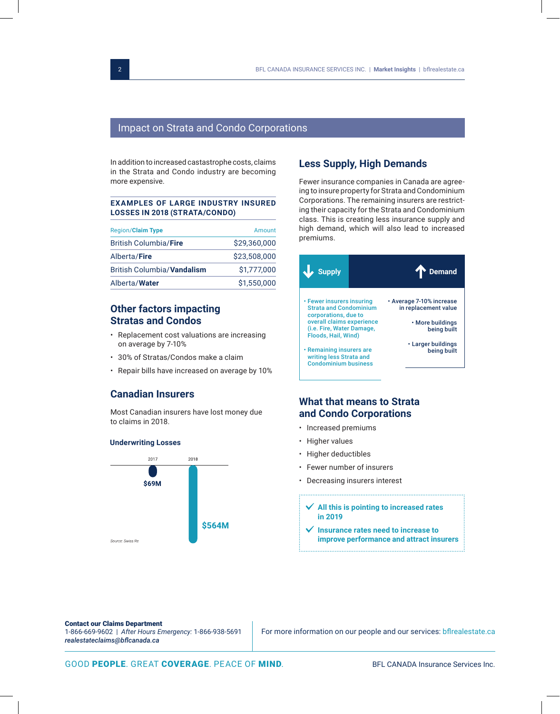# Impact on Strata and Condo Corporations

In addition to increased castastrophe costs, claims in the Strata and Condo industry are becoming more expensive.

#### **EXAMPLES OF LARGE INDUSTRY INSURED LOSSES IN 2018 (STRATA/CONDO)**

| <b>Region/Claim Type</b>          | Amount       |
|-----------------------------------|--------------|
| <b>British Columbia/Fire</b>      | \$29,360,000 |
| Alberta/Fire                      | \$23,508,000 |
| <b>British Columbia/Vandalism</b> | \$1,777,000  |
| Alberta/Water                     | \$1,550,000  |

# **Other factors impacting Stratas and Condos**

- Replacement cost valuations are increasing on average by 7-10%
- 30% of Stratas/Condos make a claim
- Repair bills have increased on average by 10%

# **Canadian Insurers**

Most Canadian insurers have lost money due to claims in 2018.

#### **Underwriting Losses**



# **Less Supply, High Demands**

Fewer insurance companies in Canada are agreeing to insure property for Strata and Condominium Corporations. The remaining insurers are restricting their capacity for the Strata and Condominium class. This is creating less insurance supply and high demand, which will also lead to increased premiums.



# **What that means to Strata and Condo Corporations**

- Increased premiums
- Higher values
- Higher deductibles
- Fewer number of insurers
- Decreasing insurers interest
	- **All this is pointing to increased rates in 2019**
	- **Insurance rates need to increase to improve performance and attract insurers**

#### Contact our Claims Department

1-866-669-9602 | *After Hours Emergency:* 1-866-938-5691 *realestateclaims@bflcanada.ca*

For more information on our people and our services: bflrealestate.ca

GOOD PEOPLE. GREAT COVERAGE. PEACE OF MIND. BFL CANADA Insurance Services Inc.